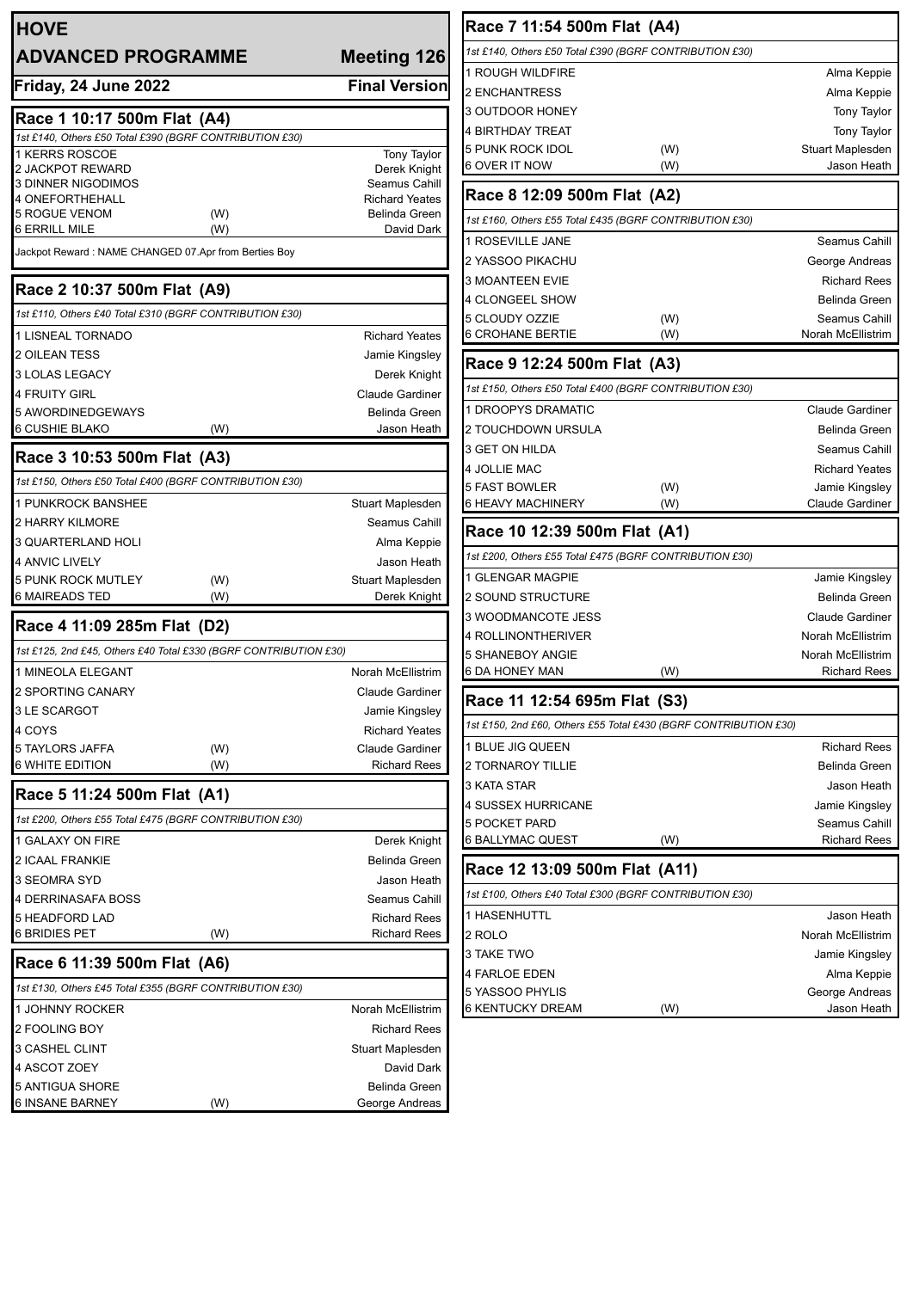| <b>HOVE</b>                                                      |                    |                               |
|------------------------------------------------------------------|--------------------|-------------------------------|
| <b>ADVANCED PROGRAMME</b>                                        | <b>Meeting 126</b> |                               |
| Friday, 24 June 2022                                             |                    | <b>Final Version</b>          |
| Race 1 10:17 500m Flat (A4)                                      |                    |                               |
| 1st £140, Others £50 Total £390 (BGRF CONTRIBUTION £30)          |                    |                               |
| 1 KERRS ROSCOE<br>2 JACKPOT REWARD                               |                    | <b>Tony Taylor</b>            |
| <b>3 DINNER NIGODIMOS</b>                                        |                    | Derek Knight<br>Seamus Cahill |
| <b>4 ONEFORTHEHALL</b>                                           |                    | <b>Richard Yeates</b>         |
| <b>5 ROGUE VENOM</b>                                             | (W)                | <b>Belinda Green</b>          |
| 6 ERRILL MILE                                                    | (W)                | David Dark                    |
| Jackpot Reward: NAME CHANGED 07.Apr from Berties Boy             |                    |                               |
| Race 2 10:37 500m Flat (A9)                                      |                    |                               |
| 1st £110, Others £40 Total £310 (BGRF CONTRIBUTION £30)          |                    |                               |
| 1 LISNEAL TORNADO                                                |                    | <b>Richard Yeates</b>         |
| <b>2 OILEAN TESS</b>                                             |                    | Jamie Kingsley                |
| <b>3 LOLAS LEGACY</b>                                            |                    | Derek Knight                  |
| <b>4 FRUITY GIRL</b>                                             |                    | Claude Gardiner               |
| 5 AWORDINEDGEWAYS                                                |                    | <b>Belinda Green</b>          |
| 6 CUSHIE BLAKO                                                   | (W)                | Jason Heath                   |
| Race 3 10:53 500m Flat (A3)                                      |                    |                               |
| 1st £150, Others £50 Total £400 (BGRF CONTRIBUTION £30)          |                    |                               |
| 1 PUNKROCK BANSHEE                                               |                    | Stuart Maplesden              |
| <b>2 HARRY KILMORE</b>                                           |                    | Seamus Cahill                 |
| 3 QUARTERLAND HOLI                                               |                    | Alma Keppie                   |
| <b>4 ANVIC LIVELY</b>                                            |                    | Jason Heath                   |
| <b>5 PUNK ROCK MUTLEY</b>                                        | (W)                | Stuart Maplesden              |
| <b>6 MAIREADS TED</b>                                            | (W)                | Derek Knight                  |
| Race 4 11:09 285m Flat (D2)                                      |                    |                               |
| 1st £125, 2nd £45, Others £40 Total £330 (BGRF CONTRIBUTION £30) |                    |                               |
| 1 MINEOLA ELEGANT                                                |                    | <b>Norah McEllistrim</b>      |
| 2 SPORTING CANARY                                                |                    | <b>Claude Gardiner</b>        |
| <b>3 LE SCARGOT</b>                                              |                    | Jamie Kingsley                |
| 4 COYS                                                           |                    | <b>Richard Yeates</b>         |
| 5 TAYLORS JAFFA                                                  | (W)                | <b>Claude Gardiner</b>        |
| <b>6 WHITE EDITION</b>                                           | (W)                | <b>Richard Rees</b>           |
| Race 5 11:24 500m Flat (A1)                                      |                    |                               |
| 1st £200, Others £55 Total £475 (BGRF CONTRIBUTION £30)          |                    |                               |
| 1 GALAXY ON FIRE                                                 |                    | Derek Knight                  |
| 2 ICAAL FRANKIE                                                  |                    | Belinda Green                 |
| 3 SEOMRA SYD                                                     |                    | Jason Heath                   |
| 4 DERRINASAFA BOSS                                               |                    | Seamus Cahill                 |
| 5 HEADFORD LAD                                                   |                    | <b>Richard Rees</b>           |
| 6 BRIDIES PET                                                    | (W)                | <b>Richard Rees</b>           |
| Race 6 11:39 500m Flat (A6)                                      |                    |                               |
| 1st £130, Others £45 Total £355 (BGRF CONTRIBUTION £30)          |                    |                               |
| 1 JOHNNY ROCKER                                                  |                    | Norah McEllistrim             |
| 2 FOOLING BOY                                                    |                    | <b>Richard Rees</b>           |
| <b>3 CASHEL CLINT</b>                                            |                    | Stuart Maplesden              |
| 4 ASCOT ZOEY                                                     |                    | David Dark                    |
| 5 ANTIGUA SHORE                                                  |                    | <b>Belinda Green</b>          |
| 6 INSANE BARNEY                                                  | (W)                | George Andreas                |

| Race 7 11:54 500m Flat (A4)                                      |     |                        |  |  |  |  |  |
|------------------------------------------------------------------|-----|------------------------|--|--|--|--|--|
| 1st £140, Others £50 Total £390 (BGRF CONTRIBUTION £30)          |     |                        |  |  |  |  |  |
| <b>1 ROUGH WILDFIRE</b>                                          |     | Alma Keppie            |  |  |  |  |  |
| 2 ENCHANTRESS                                                    |     | Alma Keppie            |  |  |  |  |  |
| 3 OUTDOOR HONEY                                                  |     | Tony Taylor            |  |  |  |  |  |
| 4 BIRTHDAY TREAT                                                 |     | Tony Taylor            |  |  |  |  |  |
| 5 PUNK ROCK IDOL                                                 | (W) | Stuart Maplesden       |  |  |  |  |  |
| 6 OVER IT NOW                                                    | (W) | Jason Heath            |  |  |  |  |  |
| Race 8 12:09 500m Flat (A2)                                      |     |                        |  |  |  |  |  |
| 1st £160, Others £55 Total £435 (BGRF CONTRIBUTION £30)          |     |                        |  |  |  |  |  |
| 1 ROSEVILLE JANE                                                 |     | Seamus Cahill          |  |  |  |  |  |
| 2 YASSOO PIKACHU                                                 |     | George Andreas         |  |  |  |  |  |
| 3 MOANTEEN EVIE                                                  |     | <b>Richard Rees</b>    |  |  |  |  |  |
| 4 CLONGEEL SHOW                                                  |     | Belinda Green          |  |  |  |  |  |
| 5 CLOUDY OZZIE                                                   | (W) | Seamus Cahill          |  |  |  |  |  |
| 6 CROHANE BERTIE                                                 | (W) | Norah McEllistrim      |  |  |  |  |  |
| Race 9 12:24 500m Flat (A3)                                      |     |                        |  |  |  |  |  |
| 1st £150, Others £50 Total £400 (BGRF CONTRIBUTION £30)          |     |                        |  |  |  |  |  |
| <b>1 DROOPYS DRAMATIC</b>                                        |     | <b>Claude Gardiner</b> |  |  |  |  |  |
| 2 TOUCHDOWN URSULA                                               |     | <b>Belinda Green</b>   |  |  |  |  |  |
| 3 GET ON HILDA                                                   |     | Seamus Cahill          |  |  |  |  |  |
| 4 JOLLIE MAC                                                     |     | <b>Richard Yeates</b>  |  |  |  |  |  |
| 5 FAST BOWLER                                                    | (W) | Jamie Kingsley         |  |  |  |  |  |
| 6 HEAVY MACHINERY                                                | (W) | <b>Claude Gardiner</b> |  |  |  |  |  |
| Race 10 12:39 500m Flat (A1)                                     |     |                        |  |  |  |  |  |
| 1st £200, Others £55 Total £475 (BGRF CONTRIBUTION £30)          |     |                        |  |  |  |  |  |
| 1 GLENGAR MAGPIE                                                 |     | Jamie Kingsley         |  |  |  |  |  |
| <b>2 SOUND STRUCTURE</b>                                         |     | <b>Belinda Green</b>   |  |  |  |  |  |
| 3 WOODMANCOTE JESS                                               |     | <b>Claude Gardiner</b> |  |  |  |  |  |
| 4 ROLLINONTHERIVER                                               |     | Norah McEllistrim      |  |  |  |  |  |
| <b>5 SHANEBOY ANGIE</b>                                          |     | Norah McEllistrim      |  |  |  |  |  |
| 6 DA HONEY MAN                                                   | (W) | <b>Richard Rees</b>    |  |  |  |  |  |
| Race 11 12:54 695m Flat (S3)                                     |     |                        |  |  |  |  |  |
| 1st £150, 2nd £60, Others £55 Total £430 (BGRF CONTRIBUTION £30) |     |                        |  |  |  |  |  |
| 1 BLUE JIG QUEEN                                                 |     | <b>Richard Rees</b>    |  |  |  |  |  |
| 2 TORNAROY TILLIE                                                |     | Belinda Green          |  |  |  |  |  |
| 3 KATA STAR                                                      |     | Jason Heath            |  |  |  |  |  |
| 4 SUSSEX HURRICANE                                               |     | Jamie Kingsley         |  |  |  |  |  |
| 5 POCKET PARD                                                    |     | Seamus Cahill          |  |  |  |  |  |
| 6 BALLYMAC QUEST                                                 | (W) | <b>Richard Rees</b>    |  |  |  |  |  |
| Race 12 13:09 500m Flat (A11)                                    |     |                        |  |  |  |  |  |
| 1st £100, Others £40 Total £300 (BGRF CONTRIBUTION £30)          |     |                        |  |  |  |  |  |
| 1 HASENHUTTL                                                     |     | Jason Heath            |  |  |  |  |  |
| 2 ROLO                                                           |     | Norah McEllistrim      |  |  |  |  |  |
| 3 TAKE TWO                                                       |     | Jamie Kingsley         |  |  |  |  |  |
| 4 FARLOE EDEN                                                    |     | Alma Keppie            |  |  |  |  |  |
| 5 YASSOO PHYLIS                                                  |     | George Andreas         |  |  |  |  |  |
| 6 KENTUCKY DREAM                                                 | (W) | Jason Heath            |  |  |  |  |  |
|                                                                  |     |                        |  |  |  |  |  |